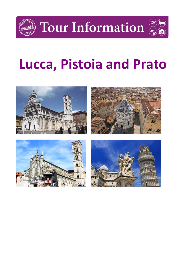

Tour Information



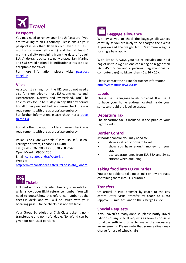

#### **Passports**

You may need to renew your British Passport if you are travelling to an EU country. Please ensure your passport is less than 10 years old (even if it has 6 months or more left on it) and has at least 6 months validity remaining from the date of travel. EU, Andorra, Liechtenstein, Monaco, San Marino and Swiss valid national identification cards are also acceptable for travel.

For more information, please visit: **passport** [checker](https://www.gov.uk/visit-europe-1-january-2021?utm_medium=uktrav-partner&utm_source=social&utm_campaign=transition&utm_content=AITO)

# **Visas**

As a tourist visiting from the UK, you do not need a visa for short trips to most EU countries, Iceland, Liechtenstein, Norway and Switzerland. You'll be able to stay for up to 90 days in any 180-day period. For all other passport holders please check the visa requirements with the appropriate embassy.

For further information, please check here: travel [to the EU](https://www.gov.uk/visit-europe-1-january-2021?utm_medium=uktrav-partner&utm_source=social&utm_campaign=transition&utm_content=AITO)

For all other passport holders please check visa requirements with the appropriate embassy.

Italian Consulate-General: "Harp House", 83/86 Farringdon Street, London EC4A 4BL. Tel: (0)20 7936 5900. Fax: (0)20 7583 9425. Open Mon-Fri 0900-1200 Email: [consolato.londra@esteri.it](mailto:consolato.londra@esteri.it) Website: [http://www.conslondra.esteri.it/Consolato\\_Londra](http://www.conslondra.esteri.it/Consolato_Londra)



Included with your detailed itinerary is an e-ticket, which shows your flight reference number. You will need to quote/show this reference number at the check-in desk, and you will be issued with your boarding pass. Online check-in is not available.

Your Group Scheduled or Club Class ticket is nontransferable and non-refundable. No refund can be given for non-used portions.

# **Baggage allowance**

We advise you to check the baggage allowances carefully as you are likely to be charged the excess if you exceed the weight limit. Maximum weights for single bags apply.

With British Airways your ticket includes one hold bag of up to 23kg plus one cabin bag no bigger than 56 x 45 x 5 cm and a personal bag (handbag or computer case) no bigger than 45 x 36 x 20 cm.

Please contact the airline for further information. [http://www.britishairways.com](http://www.britishairways.com/)

#### **Labels**

Please use the luggage labels provided. It is useful to have your home address located inside your suitcase should the label go astray.

#### **Departure Tax**

The departure tax is included in the price of your flight tickets.

# **Border Control**

At border control, you may need to:

- show a return or onward ticket.
- show you have enough money for your stay.
- use separate lanes from EU, EEA and Swiss citizens when queueing.

# **Taking food into EU countries**

You are not able to take meat, milk or any products containing them into EU countries.

# **Transfers**

On arrival in Pisa, transfer by coach to the city centre. After visits, transfer by coach to Lucca (approx. 30 minutes) and to the Albergo Celide.

# **Special Requests**

If you haven't already done so, please notify Travel Editions of any special requests as soon as possible to allow sufficient time to make the necessary arrangements. Please note that some airlines may charge for use of wheelchairs.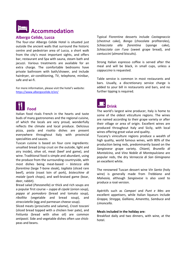

# **Albergo Celide, Lucca**

The four-star Albergo Celide Hotel is situated just outside the ancient walls that surround the historic centre and pedestrian area of Lucca, a short walk from the city's most important sights, and offers bar, restaurant and Spa with sauna, steam bath and jacuzzi. Various treatments are available for an extra charge. The comfortable bedrooms have private bathroom with bath/shower, and include hairdryer, air-conditioning, TV, telephone, minibar, safe and wi-fi.

For more information, please visit the hotel's website: <https://www.albergocelide.it/en/>



Italian food rivals French in the hearts and taste buds of many gastronomes and the regional cuisine, of which the locals are very proud, wonderfully reflects the climate and local produce. Delicious pizza, pasta and risotto dishes are present everywhere throughout Italy with provincial specialities and sauces.

Tuscan cuisine is based on four core ingredients: unsalted bread (crisp crust on the outside, light and airy inside), olive oil, meat (beef and game), and wine. Traditional food is simple and abundant, using the produce from the surrounding countryside, with most dishes being meat-based – *bistecca alla fiorentina* (large T-bone steak), *tagliata* (sliced rare beef), *arista* (roast loin of pork), *bistecchine di maiale* (pork chops), and well-braised game (boar, deer, rabbit).

Bread salad (*Panzanella*) or thick and rich soups are a popular first course – *zuppa di cipole* (onion soup), *pappa al pomodoro* (bread and tomato soup), *ribollita* (vegetable and bread soup), and *stracciatella* (egg and parmesan cheese soup).

Sliced meats (prosciutto and salame), *Crosti toscani*  (sliced bread topped with a chicken liver pate), and *Fettunta* (bread with olive oil) are common *antipasti.* Side and vegetable dishes often use chickpeas and beans.

Typical Florentine desserts include *Castagnaccio*  (chestnut cake), *Bongo* (chocolate profiteroles), *Schiacciata alla fiorentina* (sponge cake), *Schiacciata con l'uva* (sweet grape bread), and *cantuccini* (almond biscuits).

Strong Italian espresso coffee is served after the meal and will be black, in small cups, unless a *cappuccino* is requested.

Table service is common in most restaurants and bars. Usually, a discretionary service charge is added to your bill in restaurants and bars, and no further tipping is required.



The world's largest wine producer, Italy is home to some of the oldest viticulture regions. The wines are named according to their grape variety or after their village or area of origin. Excellent wines are produced throughout Italy and Sicily, with local wines offering great value and quality.

Tuscany's viniculture regions produce a wealth of high quality, world famous wines, with 80% of the production being reds, predominantly based on the *Sangiovese* grape variety. *Chianti, Brunello di Montalcino,* and *Vino Nobile di Montepulciano* are popular reds, the dry *Vernaccia di San Gimignano*  an excellent white.

The renowned Tuscan dessert wine *Vin Santo* (holy wine) is generally made from *Trebbiano* and *Malvasia,* although *Sangiovese* is also used to produce a rosé version.

Apéritifs such as *Campari* and *Punt e Mes* are excellent appetisers, while Italian liqueurs include *Grappa, Stregga, Galliano, Amaretto, Sambuca* and *Limoncello.* 

#### **Meals included in the holiday are:**

Breakfast daily and two dinners, with wine, at the hotel.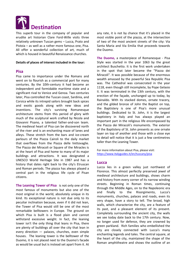

This superb tour in the company of popular and erudite art historian Clare Ford-Wille visits three relatively unknown Tuscan gems – Lucca, Prato and Pistoia – as well as a rather more famous one, Pisa. All offer a wonderful collection of art, much of which is housed in beautiful Renaissance churches.

#### **Details of places of interest included in the tour:**

#### **Pisa**

Pisa came to importance under the Romans and went on to flourish as a commercial port for many centuries. By the 10th-century it had become an independent and formidable maritime state and a significant rival to Venice and Genoa. Two centuries later, Pisa controlled the Tuscan coast, Sardinia, and Corsica while its intrepid sailors brought back spices and exotic goods along with new ideas and inventions. The city's surviving Romanesque architecture stems from this period of glory with much of the sculptural work crafted by Nicola and Giovanni Pisano, a talented father-and-son team. The medieval heart of Pisa can be discovered north of the river and is an enchanting maze of lanes and alleys. These stretch from the bars and ice-cream parlours of the Piazza Cairoli to the daily market that overflows from the Piazza delle Vettovaglie. The Piazza dei Miracoli or Square of the Miracles is at the heart of Pisa and home to many of its major buildings and attractions. It was designated a UNESCO World Heritage Site in 1987 and has a history that dates right back to the city's Etruscan and Roman periods. The piazza has always played a central part in the religious life cycle of Pisan citizens.

**The Leaning Tower of Pisa** is not only one of the most famous of monuments but also one of the most original in the world, absolutely unique in its kind. Its exceptional nature is not due only to its peculiar inclination because, even if it did not lean, the Tower of Pisa would still be one of the most remarkable belltowers in Europe. The ground on which Pisa is built is a flood plain and cannot withstand excessive weight. In fact, the leaning tower isn't the only thing that leans in Pisa, there are plenty of buildings all over the city that lean in every direction — palaces, churches, even simple houses. The leaning tower is the belltower of the Duomo, it is not placed next to the Duomo's facade as would be usual but is instead set apart from it. At any rate, it is not by chance that it's placed in the most visible point of the piazza, at the intersection of two of the most ancient streets of the city: Via Santa Maria and Via Emilia that proceeds towards the Duomo.

**The Duomo,** a masterpiece of Romanesque - Pisa Style was started in the year 1063 by the great architect Buschetto. It is the first work undertaken in the spot that later became the "Piazza dei Miracoli". It was possible because of the enormous wealth amassed by the powerful Sea Republic Pisa was. The Cathedral was consecrated in the year 1118, even though still incomplete, by Pope Gelasio II. It was terminated in the 13th century, with the erection of the façade, unchanged up to today, by Rainaldo. With its stacked domes, ornate tracery, and the gilded bronze of John the Baptist on top, the Baptistery is one of Pisa's more unusual buildings. Dedicated to St. John, it is the largest baptistery in Italy and has always played an important part in the religious life encompassed by the Piazza dei Miracoli's monuments. The exterior of the Baptistery of St. John presents as one ornate layer on top of another and those with a close eye to detail will notice that it is just a few centimetres taller than the Leaning Tower.

For more information about Pisa, please visit: <https://www.italyguides.it/en/tuscany/pisa>

#### **Lucca**

Lucca lies in a green valley just northwest of Florence. This almost perfectly preserved jewel of medieval architecture and buildings, shows charm and history from every corner of its narrow winding streets. Beginning in Roman times, continuing through the Middle Ages, on to the Napoleonic era and finally to the Risorgimento, Lucca's monuments, churches, palaces and roads, even its very shape, have a story to tell. The broad, high walls, which characterize the city, are a feature of its past, and a pleasant element of its present. Completely surrounding the ancient city, the walls we see today date back to the 17th century. Now, no longer used for defence, they are crowned by green parkland. Rich families who embellished the city are closely connected with Lucca's many enchanting legends and tales. The central square, at the heart of the city, maintained the shape of the Roman amphitheatre and shows the outline of an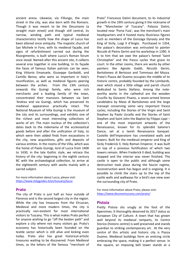ancient arena. Likewise, via Fillungo, the main street in the city, was also born with the Romans. Though it was meant to be the Decumano (a straight main street) and though still central, its narrow, winding path and typical medieval characteristics testify how the shape of Lucca has been altered since antiquity. The majestic church of San Michele in Foro, with its medieval façade, and signs of refurbishment carried out during the Risorgimento, is built where Lucca's Roman forum once stood. Named after this ancient site, it collects several eras together in one building. In its façade the faces of famous Italian patriots can be seen; King Vittorio Emanuele, Giuseppe Garibaldi, and Camillo Benso, who were so important in Italy's reunification, as well as medieval figures peering between the arches. From the 13th century onwards the Guinigi family, who were rich merchants and a leading family of the town, concentrated their mansions between via Sant 'Andrea and via Guinigi, which has preserved its medieval appearance practically intact. The National Museum of Villa Guinigi is the museum of the city and its surroundings, and exhibits one of the richest and most interesting collections of works of art. The main nucleus of the collection's dates back to the indemania of the ecclesiastical goods before and after the unification of Italy, to which were then added finds from excavations in the city, new acquisitions, gifts and deposits of various entities. In the rooms of the Villa, which was the home of Paolo Guinigi, lord of Lucca from 1400 to 1430, in the late Gothic style, we retrace the history of the city: beginning in the eighth century BC with the archaeological collection, to arrive at the eighteenth century with works mainly with a sacred subject.

For more information about Lucca, please visit: <https://www.italyguides.it/en/tuscany/lucca>

#### **Prato**

The city of Prato is just half an hour outside of Florence and is the second largest city in the region. While the city has treasures from the Etruscan, Medieval and more modern times, the city is practically non-existent for most international visitors to Tuscany. This is what makes Prato perfect for anyone wishing to go "off the beaten path" and explore a city where not many visitors go. Prato's economy has historically been founded on the textile sector which is still alive and kicking even today. Prato also has great historical-artistic treasures waiting to be discovered. From Medieval times, as the letters of the famous "merchant of

Prato" Francesco Datini document, to its industrial growth in the 19th century giving it the nickname of the "Manchester of Tuscany". Palazzo Datini, located near 'Porta Fuia', was the merchant's main headquarters and it hosted many illustrious figures such as members of the Gonzaga Dynasty and the King of Sicily, Luigi II d'Angio. Purchased in 1354, the palace's decoration was entrusted to painter Niccolò di Pietro Gerini and his workshop in 1390. It is to him that we owe the palace's famed 'Saint Christopher' and the fresco cycles that grace its court. In the other rooms, there are works by other painters like Agnolo Gaddi, Niccolò Gerini, Bartolomeo di Bertozzo and Tommaso del Mazza. Prato's Piazza del Duomo occupies the middle of its historic centre, probably founded by the Lombards, near which stood a little village and parish church dedicated to Santo Stefano. Among the noteworthy works in the cathedral are the wooden Crucifix by Giovanni Pisano, a seven-armed bronze candelabra by Maso di Bartolomeo and the large transept conserving some very important fresco cycles, including the Stories of the Virgin and Saint Stephen by Paolo Uccello and the Stories of Saint Stephen and Saint John the Baptist by Filippo Lippi – one of the most important artworks of the Renaissance, known for its splendid Salome's Dance, set at a lavish Renaissance banquet. Castello dell'Imperatore has crenelated walls and towers. Built for the medieval emperor and King of Sicily Frederick II, Holy Roman Emperor, it was built on top of a previous fortification of which two towers remain. When Frederick II died, building was stopped and the interior was never finished. The castle is open to the public and although some destruction took place during the fascist regime, reconstruction work has begun and is ongoing. It is possible to climb the stairs up to the top of the castle walls and walkways for a bird's eye view over the surrounding city of Prato.

For more information about Prato, please visit: <https://www.discovertuscany.com/prato/>

#### **Pistoia**

Pretty Pistoia sits snugly at the foot of the Apennines. It thoroughly deserved its 2017 status as European City of Culture. A town that has grown well beyond its medieval ramparts, its Centro Storico (historic centre) is well preserved and stands guardian to striking contemporary art. At the very centre of this artistic and historic city is Piazza Duomo. Medieval buildings form an enticing circle embracing the space, making it a perfect venue. In the square, an imposing bell tower stands at a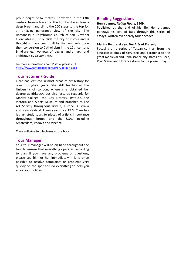proud height of 67 metres. Converted in the 13th century from a tower of the Lombard era, take a deep breath and climb the 200 steps to the top for an amazing panoramic view of the city. The Romanesque Polychrome Church of San Giovanni Fuorcivitas is just outside the city of Pistoia and is thought to have been built by the Lombards upon their conversion to Catholicism in the 12th century. Blind arches, two rows of loggias, and an arch and architrave by Gruamonte.

For more information about Pistoia, please visit: <http://www.santacroceopera.it/en/default.aspx>

## **Tour lecturer / Guide**

Clare has lectured in most areas of art history for over thirty-five years. She still teaches at the University of London, where she obtained her degree at Birkbeck, but also lectures regularly for Morley College, the City Literary Institute, the Victoria and Albert Museum and branches of The Art Society throughout Britain, Europe, Australia and New Zealand. Every year since 1978 Clare has led art study tours to places of artistic importance throughout Europe and the USA, including Amsterdam, Padova and Vicenza.

Clare will give two lectures at the hotel.

#### **Tour Manager**

Your tour manager will be on hand throughout the tour to ensure that everything operated according to plan. If you have any problems or questions, please see him or her immediately  $-$  it is often possible to resolve complaints or problems very quickly on the spot and do everything to help you enjoy your holiday.

## **Reading Suggestions**

#### **Henry James,** *Italian Hours***, 1909.**

Published at the end of his life, Henry James portrays his love of Italy through this series of essays, written over nearly four decades.

#### **Marina Belozerskaya,** *The Arts of Tuscany*

Focusing on a series of Tuscan centres, from the Etruscan capitals of Cerveteri and Tarquinia to the great medieval and Renaissance city-states of Lucca, Pisa, Siena, and Florence down to the present day,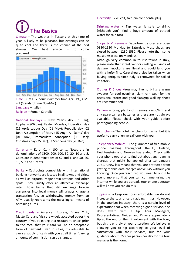# **The Basics**

Climate – The weather in Tuscany at this time of year is likely to be pleasant, but evenings can be quite cool and there is the chance of the odd shower. Our best advice is to come [prepared.](http://www.google.co.uk/url?sa=i&rct=j&q=&esrc=s&source=images&cd=&cad=rja&uact=8&ved=0CAcQjRw&url=http://www.holidayweatherguide.com/italy/tuscany/florence&ei=EMVgVJSOLdDLsASjioKADg&bvm=bv.79189006,d.ZGU&psig=AFQjCNHb5s7wUPcgZ0VdX2Zal9r0r83Iqw&ust=1415714432882436)



Time – GMT +2 hours (Summer time Apr-Oct); GMT + 1 (Standard time Nov-Mar). Language – Italian

Religion – Roman Catholic

National holidays – New Year's day (01 Jan); Epiphany (06 Jan); Easter Monday; Liberation day (25 Apr); Labour Day (01 May); Republic day (02 Jun); Assumption of Mary (15 Aug); All Saints' day (01 Nov); Immaculate conception (08 Dec); Christmas day (25 Dec); St Stephens day (26 Dec).

Currency – Euro.  $\epsilon$ 1 = 100 cents. Notes are in denominations of €500, 200, 100, 50, 20, 10 and 5. Coins are in denominations of €2 and 1, and 50, 20, 10, 5, 2 and 1 cents.

Banks – Cashpoints compatible with international banking networks are located in all towns and cities, as well as airports, major train stations and other spots. They usually offer an attractive exchange rate. Those banks that still exchange foreign currencies into local money will always charge a transaction fee, so withdrawing money from an ATM usually represents the most logical means of obtaining euros.

Credit cards – American Express, Diners Club, MasterCard and Visa are widely accepted across the country. If you're eating at a restaurant, check prior to the meal that your card will be an acceptable form of payment. Even in cities, it's advisable to carry a supply of cash with you at all times. Varying amounts of commission can be charged.

Electricity – 220 volt, two-pin continental plug.

Drinking water – Tap water is safe to drink. (Although you'll find a huge amount of bottled water for sale too)

Shops & Museums – Department stores are open 0830-1930 Monday to Saturday. Most shops are closed between 1230-1530. Please note than some museums close on Mondays.

Although very common in tourist towns in Italy, please note that street vendors selling all kinds of designer knockoffs are illegal and could land you with a hefty fine. Care should also be taken when buying antiques since Italy is renowned for skilled imitators.

Clothes & Shoes –You may like to bring a warm sweater for cool evenings. Light rain wear for the occasional storm and good flat/grip walking shoes are recommended.

Camera – bring plenty of memory cards/film and any spare camera batteries as these are not always available. Please check with your guide before photographing people.

Bath plugs – The hotel has plugs for basins, but it is useful to carry a 'universal' one with you.

Telephones/mobiles – The guarantee of free mobile phone roaming throughout the EU, Iceland, Liechtenstein and Norway has ended. Check with your phone operator to find out about any roaming charges that might be applied after 1st January 2021. A new law means that you are protected from getting mobile data charges above £45 without you knowing. Once you reach £45, you need to opt in to spend more so that you can continue using the internet while you are abroad. Your phone operator will tell how you can do this.

Tipping –To keep our tours affordable, we do not increase the tour price by adding in tips. However, in the tourism industry, there is a certain level of expectation that when receiving a good service, one does award with a tip. Tour Managers, Representatives, Guides and Drivers appreciate a tip at the end of their involvement with the tour, but this is entirely at your discretion. We believe in allowing you to tip according to your level of satisfaction with their services, but for your guidance about £2-3 per person per day for the tour manager is the norm.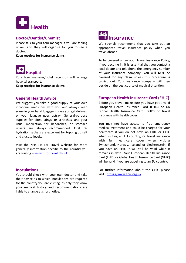

# **Doctor/Dentist/Chemist**

Please talk to your tour manager if you are feeling unwell and they will organise for you to see a doctor.

**Keep receipts for insurance claims**.



Your tour manager/hotel reception will arrange hospital transport.

**Keep receipts for insurance claims**.

# **General Health Advice**

We suggest you take a good supply of your own individual medicines with you and always keep some in your hand luggage in case you get delayed or your luggage goes astray. General-purpose supplies for bites, stings, or scratches, and your usual medication for headaches, or stomach upsets are always recommended. Oral rehydration sachets are excellent for topping up salt and glucose levels.

Visit the NHS Fit For Travel website for more generally information specific to the country you are visiting – [www.fitfortravel.nhs.uk](http://www.fitfortravel.nhs.uk/)

# **Inoculations**

You should check with your own doctor and take their advice as to which inoculations are required for the country you are visiting, as only they know your medical history and recommendations are liable to change at short notice.



We strongly recommend that you take out an appropriate travel insurance policy when you travel abroad.

To be covered under your Travel Insurance Policy, if you become ill, it is essential that you contact a local doctor and telephone the emergency number of your insurance company. You will **NOT** be covered for any claim unless this procedure is carried out. Your insurance company will then decide on the best course of medical attention.

# **European Health Insurance Card (EHIC)**

Before you travel, make sure you have got a valid European Health Insurance Card (EHIC) or UK Global Health Insurance Card (GHIC) or travel insurance with health cover.

You may not have access to free emergency medical treatment and could be charged for your healthcare if you do not have an EHIC or GHIC when visiting an EU country, or travel insurance with full healthcare cover when visiting Switzerland, Norway, Iceland or Liechtenstein. If you have an EHIC it will still be valid while it remains in date. Your European Health Insurance Card (EHIC) or Global Health Insurance Card (GHIC) will be valid if you are travelling to an EU country.

For further information about the GHIC please visit: [https://www.ehic.org.uk](https://www.ehic.org.uk/)